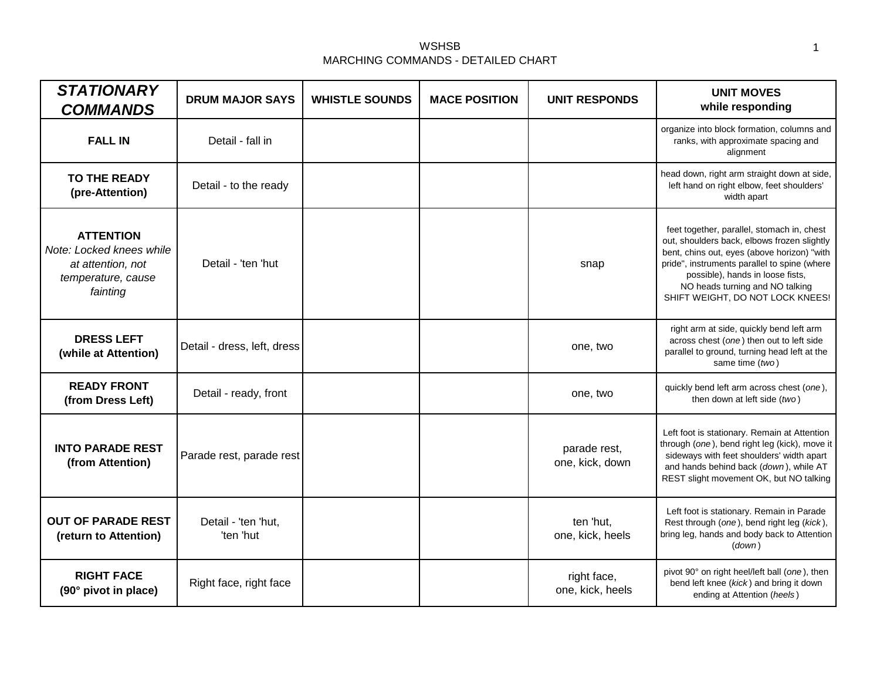## WSHSB MARCHING COMMANDS - DETAILED CHART

| <b>STATIONARY</b><br><b>COMMANDS</b>                                                                | <b>DRUM MAJOR SAYS</b>           | <b>WHISTLE SOUNDS</b> | <b>MACE POSITION</b> | <b>UNIT RESPONDS</b>            | <b>UNIT MOVES</b><br>while responding                                                                                                                                                                                                                                                               |
|-----------------------------------------------------------------------------------------------------|----------------------------------|-----------------------|----------------------|---------------------------------|-----------------------------------------------------------------------------------------------------------------------------------------------------------------------------------------------------------------------------------------------------------------------------------------------------|
| <b>FALL IN</b>                                                                                      | Detail - fall in                 |                       |                      |                                 | organize into block formation, columns and<br>ranks, with approximate spacing and<br>alignment                                                                                                                                                                                                      |
| <b>TO THE READY</b><br>(pre-Attention)                                                              | Detail - to the ready            |                       |                      |                                 | head down, right arm straight down at side,<br>left hand on right elbow, feet shoulders'<br>width apart                                                                                                                                                                                             |
| <b>ATTENTION</b><br>Note: Locked knees while<br>at attention, not<br>temperature, cause<br>fainting | Detail - 'ten 'hut               |                       |                      | snap                            | feet together, parallel, stomach in, chest<br>out, shoulders back, elbows frozen slightly<br>bent, chins out, eyes (above horizon) "with<br>pride", instruments parallel to spine (where<br>possible), hands in loose fists,<br>NO heads turning and NO talking<br>SHIFT WEIGHT, DO NOT LOCK KNEES! |
| <b>DRESS LEFT</b><br>(while at Attention)                                                           | Detail - dress, left, dress      |                       |                      | one, two                        | right arm at side, quickly bend left arm<br>across chest (one) then out to left side<br>parallel to ground, turning head left at the<br>same time (two)                                                                                                                                             |
| <b>READY FRONT</b><br>(from Dress Left)                                                             | Detail - ready, front            |                       |                      | one, two                        | quickly bend left arm across chest (one),<br>then down at left side (two)                                                                                                                                                                                                                           |
| <b>INTO PARADE REST</b><br>(from Attention)                                                         | Parade rest, parade rest         |                       |                      | parade rest,<br>one, kick, down | Left foot is stationary. Remain at Attention<br>through (one), bend right leg (kick), move it<br>sideways with feet shoulders' width apart<br>and hands behind back (down), while AT<br>REST slight movement OK, but NO talking                                                                     |
| <b>OUT OF PARADE REST</b><br>(return to Attention)                                                  | Detail - 'ten 'hut,<br>'ten 'hut |                       |                      | ten 'hut,<br>one, kick, heels   | Left foot is stationary. Remain in Parade<br>Rest through (one), bend right leg (kick),<br>bring leg, hands and body back to Attention<br>(down)                                                                                                                                                    |
| <b>RIGHT FACE</b><br>(90° pivot in place)                                                           | Right face, right face           |                       |                      | right face,<br>one, kick, heels | pivot 90° on right heel/left ball (one), then<br>bend left knee (kick) and bring it down<br>ending at Attention (heels)                                                                                                                                                                             |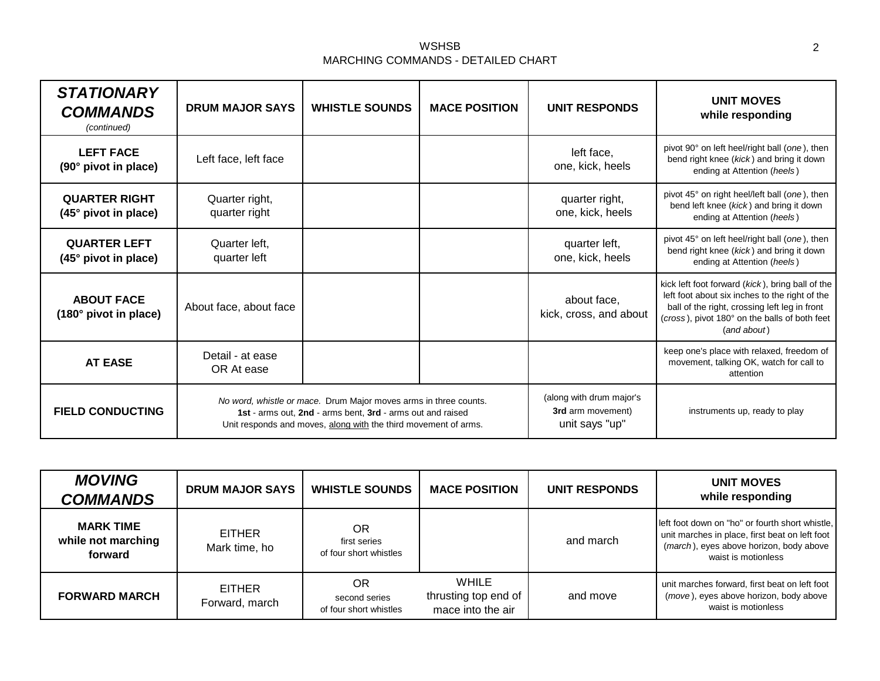## WSHSB MARCHING COMMANDS - DETAILED CHART

| <b>STATIONARY</b><br><b>COMMANDS</b><br>(continued) | <b>DRUM MAJOR SAYS</b>                                                                                                                                                                            | <b>WHISTLE SOUNDS</b> | <b>MACE POSITION</b> | <b>UNIT RESPONDS</b>                                            | <b>UNIT MOVES</b><br>while responding                                                                                                                                                                               |
|-----------------------------------------------------|---------------------------------------------------------------------------------------------------------------------------------------------------------------------------------------------------|-----------------------|----------------------|-----------------------------------------------------------------|---------------------------------------------------------------------------------------------------------------------------------------------------------------------------------------------------------------------|
| <b>LEFT FACE</b><br>(90° pivot in place)            | Left face, left face                                                                                                                                                                              |                       |                      | left face,<br>one, kick, heels                                  | pivot 90° on left heel/right ball (one), then<br>bend right knee (kick) and bring it down<br>ending at Attention (heels)                                                                                            |
| <b>QUARTER RIGHT</b><br>(45° pivot in place)        | Quarter right,<br>quarter right                                                                                                                                                                   |                       |                      | quarter right,<br>one, kick, heels                              | pivot 45° on right heel/left ball (one), then<br>bend left knee (kick) and bring it down<br>ending at Attention (heels)                                                                                             |
| <b>QUARTER LEFT</b><br>(45° pivot in place)         | Quarter left,<br>quarter left                                                                                                                                                                     |                       |                      | quarter left,<br>one, kick, heels                               | pivot 45° on left heel/right ball (one), then<br>bend right knee (kick) and bring it down<br>ending at Attention (heels)                                                                                            |
| <b>ABOUT FACE</b><br>(180° pivot in place)          | About face, about face                                                                                                                                                                            |                       |                      | about face,<br>kick, cross, and about                           | kick left foot forward (kick), bring ball of the<br>left foot about six inches to the right of the<br>ball of the right, crossing left leg in front<br>(cross), pivot 180° on the balls of both feet<br>(and about) |
| <b>AT EASE</b>                                      | Detail - at ease<br>OR At ease                                                                                                                                                                    |                       |                      |                                                                 | keep one's place with relaxed, freedom of<br>movement, talking OK, watch for call to<br>attention                                                                                                                   |
| <b>FIELD CONDUCTING</b>                             | No word, whistle or mace. Drum Major moves arms in three counts.<br>1st - arms out, 2nd - arms bent, 3rd - arms out and raised<br>Unit responds and moves, along with the third movement of arms. |                       |                      | (along with drum major's<br>3rd arm movement)<br>unit says "up" | instruments up, ready to play                                                                                                                                                                                       |

| <b>MOVING</b><br><b>COMMANDS</b>                  | <b>DRUM MAJOR SAYS</b>          | <b>WHISTLE SOUNDS</b>                         | <b>MACE POSITION</b>                               | <b>UNIT RESPONDS</b> | <b>UNIT MOVES</b><br>while responding                                                                                                                               |
|---------------------------------------------------|---------------------------------|-----------------------------------------------|----------------------------------------------------|----------------------|---------------------------------------------------------------------------------------------------------------------------------------------------------------------|
| <b>MARK TIME</b><br>while not marching<br>forward | <b>EITHER</b><br>Mark time, ho  | OR<br>first series<br>of four short whistles  |                                                    | and march            | left foot down on "ho" or fourth short whistle,<br>unit marches in place, first beat on left foot<br>(march), eyes above horizon, body above<br>waist is motionless |
| <b>FORWARD MARCH</b>                              | <b>EITHER</b><br>Forward, march | OR<br>second series<br>of four short whistles | WHILE<br>thrusting top end of<br>mace into the air | and move             | unit marches forward, first beat on left foot<br>(move), eyes above horizon, body above<br>waist is motionless                                                      |